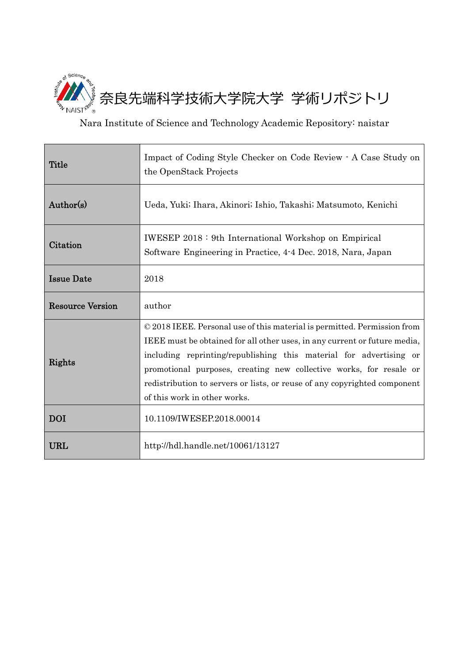

Nara Institute of Science and Technology Academic Repository: naistar

| <b>Title</b>            | Impact of Coding Style Checker on Code Review $\cdot$ A Case Study on<br>the OpenStack Projects                                                                                                                                                                                                                                                                                                                |
|-------------------------|----------------------------------------------------------------------------------------------------------------------------------------------------------------------------------------------------------------------------------------------------------------------------------------------------------------------------------------------------------------------------------------------------------------|
| Author(s)               | Ueda, Yuki; Ihara, Akinori; Ishio, Takashi; Matsumoto, Kenichi                                                                                                                                                                                                                                                                                                                                                 |
| Citation                | <b>IWESEP</b> 2018 : 9th International Workshop on Empirical<br>Software Engineering in Practice, 4-4 Dec. 2018, Nara, Japan                                                                                                                                                                                                                                                                                   |
| <b>Issue Date</b>       | 2018                                                                                                                                                                                                                                                                                                                                                                                                           |
| <b>Resource Version</b> | author                                                                                                                                                                                                                                                                                                                                                                                                         |
| Rights                  | © 2018 IEEE. Personal use of this material is permitted. Permission from<br>IEEE must be obtained for all other uses, in any current or future media,<br>including reprinting/republishing this material for advertising or<br>promotional purposes, creating new collective works, for resale or<br>redistribution to servers or lists, or reuse of any copyrighted component<br>of this work in other works. |
| <b>DOI</b>              | 10.1109/IWESEP.2018.00014                                                                                                                                                                                                                                                                                                                                                                                      |
| <b>URL</b>              | http://hdl.handle.net/10061/13127                                                                                                                                                                                                                                                                                                                                                                              |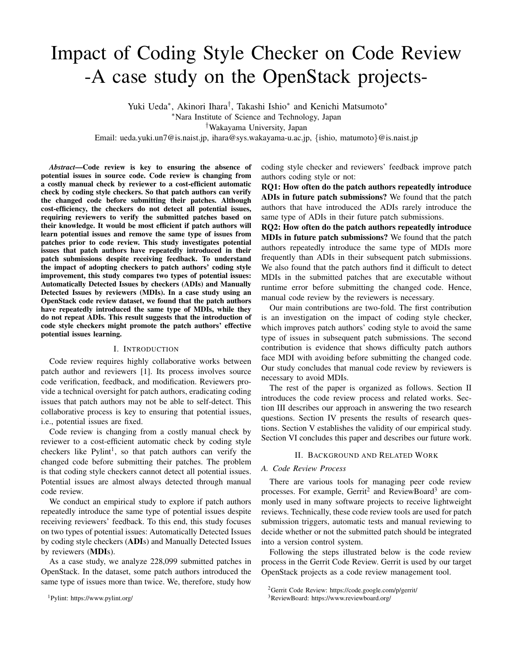# Impact of Coding Style Checker on Code Review -A case study on the OpenStack projects-

Yuki Ueda*∗* , Akinori Ihara*†* , Takashi Ishio*∗* and Kenichi Matsumoto*∗*

*∗*Nara Institute of Science and Technology, Japan

*†*Wakayama University, Japan

Email: ueda.yuki.un7@is.naist.jp, ihara@sys.wakayama-u.ac.jp, *{*ishio, matumoto*}*@is.naist.jp

*Abstract*—Code review is key to ensuring the absence of potential issues in source code. Code review is changing from a costly manual check by reviewer to a cost-efficient automatic check by coding style checkers. So that patch authors can verify the changed code before submitting their patches. Although cost-efficiency, the checkers do not detect all potential issues, requiring reviewers to verify the submitted patches based on their knowledge. It would be most efficient if patch authors will learn potential issues and remove the same type of issues from patches prior to code review. This study investigates potential issues that patch authors have repeatedly introduced in their patch submissions despite receiving feedback. To understand the impact of adopting checkers to patch authors' coding style improvement, this study compares two types of potential issues: Automatically Detected Issues by checkers (ADIs) and Manually Detected Issues by reviewers (MDIs). In a case study using an OpenStack code review dataset, we found that the patch authors have repeatedly introduced the same type of MDIs, while they do not repeat ADIs. This result suggests that the introduction of code style checkers might promote the patch authors' effective potential issues learning.

#### I. INTRODUCTION

Code review requires highly collaborative works between patch author and reviewers [1]. Its process involves source code verification, feedback, and modification. Reviewers provide a technical oversight for patch authors, eradicating coding issues that patch authors may not be able to self-detect. This collaborative process is key to ensuring that potential issues, i.e., potential issues are fixed.

Code review is changing from a costly manual check by reviewer to a cost-efficient automatic check by coding style checkers like  $Pylint<sup>1</sup>$ , so that patch authors can verify the changed code before submitting their patches. The problem is that coding style checkers cannot detect all potential issues. Potential issues are almost always detected through manual code review.

We conduct an empirical study to explore if patch authors repeatedly introduce the same type of potential issues despite receiving reviewers' feedback. To this end, this study focuses on two types of potential issues: Automatically Detected Issues by coding style checkers (ADIs) and Manually Detected Issues by reviewers (MDIs).

As a case study, we analyze 228,099 submitted patches in OpenStack. In the dataset, some patch authors introduced the same type of issues more than twice. We, therefore, study how coding style checker and reviewers' feedback improve patch authors coding style or not:

RQ1: How often do the patch authors repeatedly introduce ADIs in future patch submissions? We found that the patch authors that have introduced the ADIs rarely introduce the same type of ADIs in their future patch submissions.

RQ2: How often do the patch authors repeatedly introduce MDIs in future patch submissions? We found that the patch authors repeatedly introduce the same type of MDIs more frequently than ADIs in their subsequent patch submissions. We also found that the patch authors find it difficult to detect MDIs in the submitted patches that are executable without runtime error before submitting the changed code. Hence, manual code review by the reviewers is necessary.

Our main contributions are two-fold. The first contribution is an investigation on the impact of coding style checker, which improves patch authors' coding style to avoid the same type of issues in subsequent patch submissions. The second contribution is evidence that shows difficulty patch authors face MDI with avoiding before submitting the changed code. Our study concludes that manual code review by reviewers is necessary to avoid MDIs.

The rest of the paper is organized as follows. Section II introduces the code review process and related works. Section III describes our approach in answering the two research questions. Section IV presents the results of research questions. Section V establishes the validity of our empirical study. Section VI concludes this paper and describes our future work.

## II. BACKGROUND AND RELATED WORK

#### *A. Code Review Process*

There are various tools for managing peer code review processes. For example, Gerrit<sup>2</sup> and ReviewBoard<sup>3</sup> are commonly used in many software projects to receive lightweight reviews. Technically, these code review tools are used for patch submission triggers, automatic tests and manual reviewing to decide whether or not the submitted patch should be integrated into a version control system.

Following the steps illustrated below is the code review process in the Gerrit Code Review. Gerrit is used by our target OpenStack projects as a code review management tool.

<sup>2</sup>Gerrit Code Review: https://code.google.com/p/gerrit/

<sup>3</sup>ReviewBoard: https://www.reviewboard.org/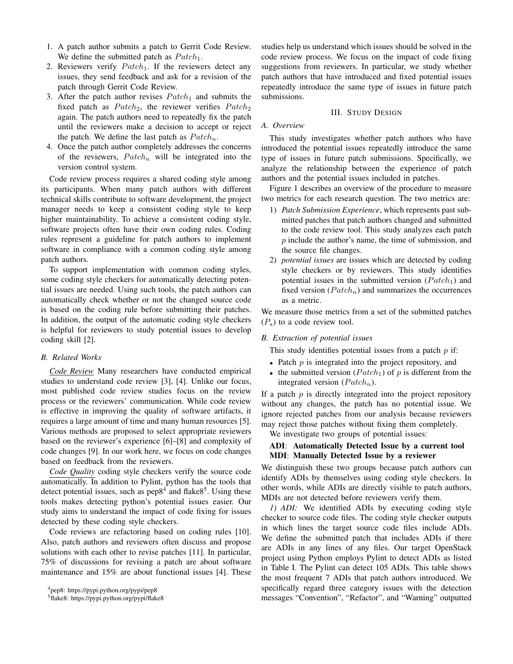- 1. A patch author submits a patch to Gerrit Code Review. We define the submitted patch as  $Patch_1$ .
- 2. Reviewers verify *Patch*<sub>1</sub>. If the reviewers detect any issues, they send feedback and ask for a revision of the patch through Gerrit Code Review.
- 3. After the patch author revises  $Patch_1$  and submits the fixed patch as  $Patch_2$ , the reviewer verifies  $Patch_2$ again. The patch authors need to repeatedly fix the patch until the reviewers make a decision to accept or reject the patch. We define the last patch as  $Patch_n$ .
- 4. Once the patch author completely addresses the concerns of the reviewers,  $Patch_n$  will be integrated into the version control system.

Code review process requires a shared coding style among its participants. When many patch authors with different technical skills contribute to software development, the project manager needs to keep a consistent coding style to keep higher maintainability. To achieve a consistent coding style, software projects often have their own coding rules. Coding rules represent a guideline for patch authors to implement software in compliance with a common coding style among patch authors.

To support implementation with common coding styles, some coding style checkers for automatically detecting potential issues are needed. Using such tools, the patch authors can automatically check whether or not the changed source code is based on the coding rule before submitting their patches. In addition, the output of the automatic coding style checkers is helpful for reviewers to study potential issues to develop coding skill [2].

#### *B. Related Works*

*Code Review* Many researchers have conducted empirical studies to understand code review [3], [4]. Unlike our focus, most published code review studies focus on the review process or the reviewers' communication. While code review is effective in improving the quality of software artifacts, it requires a large amount of time and many human resources [5]. Various methods are proposed to select appropriate reviewers based on the reviewer's experience [6]–[8] and complexity of code changes [9]. In our work here, we focus on code changes based on feedback from the reviewers.

*Code Quality* coding style checkers verify the source code automatically. In addition to Pylint, python has the tools that detect potential issues, such as  $pep8<sup>4</sup>$  and flake $8<sup>5</sup>$ . Using these tools makes detecting python's potential issues easier. Our study aims to understand the impact of code fixing for issues detected by these coding style checkers.

Code reviews are refactoring based on coding rules [10]. Also, patch authors and reviewers often discuss and propose solutions with each other to revise patches [11]. In particular, 75% of discussions for revising a patch are about software maintenance and 15% are about functional issues [4]. These studies help us understand which issues should be solved in the code review process. We focus on the impact of code fixing suggestions from reviewers. In particular, we study whether patch authors that have introduced and fixed potential issues repeatedly introduce the same type of issues in future patch submissions.

#### III. STUDY DESIGN

## *A. Overview*

This study investigates whether patch authors who have introduced the potential issues repeatedly introduce the same type of issues in future patch submissions. Specifically, we analyze the relationship between the experience of patch authors and the potential issues included in patches.

Figure 1 describes an overview of the procedure to measure two metrics for each research question. The two metrics are:

- 1) *Patch Submission Experience*, which represents past submitted patches that patch authors changed and submitted to the code review tool. This study analyzes each patch *p* include the author's name, the time of submission, and the source file changes.
- 2) *potential issues* are issues which are detected by coding style checkers or by reviewers. This study identifies potential issues in the submitted version  $(Patch<sub>1</sub>)$  and fixed version  $(Patch_n)$  and summarizes the occurrences as a metric.

We measure those metrics from a set of the submitted patches  $(P_s)$  to a code review tool.

#### *B. Extraction of potential issues*

This study identifies potential issues from a patch *p* if:

- Patch *p* is integrated into the project repository, and
- the submitted version  $(Patch_1)$  of *p* is different from the integrated version ( $Patch_n$ ).

If a patch *p* is directly integrated into the project repository without any changes, the patch has no potential issue. We ignore rejected patches from our analysis because reviewers may reject those patches without fixing them completely.

We investigate two groups of potential issues:

# ADI: Automatically Detected Issue by a current tool MDI: Manually Detected Issue by a reviewer

We distinguish these two groups because patch authors can identify ADIs by themselves using coding style checkers. In other words, while ADIs are directly visible to patch authors, MDIs are not detected before reviewers verify them.

*1) ADI:* We identified ADIs by executing coding style checker to source code files. The coding style checker outputs in which lines the target source code files include ADIs. We define the submitted patch that includes ADIs if there are ADIs in any lines of any files. Our target OpenStack project using Python employs Pylint to detect ADIs as listed in Table I. The Pylint can detect 105 ADIs. This table shows the most frequent 7 ADIs that patch authors introduced. We specifically regard three category issues with the detection messages "Convention", "Refactor", and "Warning" outputted

<sup>4</sup>pep8: https://pypi.python.org/pypi/pep8

<sup>5</sup>flake8: https://pypi.python.org/pypi/flake8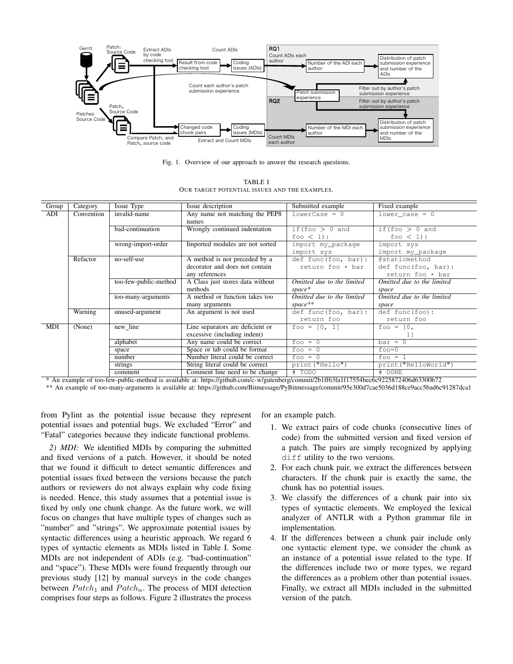

Fig. 1. Overview of our approach to answer the research questions.

TABLE I OUR TARGET POTENTIAL ISSUES AND THE EXAMPLES.

| Group      | Category   | <b>Issue Type</b>     | Issue description                | Submitted example          | Fixed example              |
|------------|------------|-----------------------|----------------------------------|----------------------------|----------------------------|
| ADI        | Convention | invalid-name          | Any name not matching the PEP8   | $lowerCase = 0$            | $lower\_case = 0$          |
|            |            |                       | names                            |                            |                            |
|            |            | bad-continuation      | Wrongly continued indentation    | if (foo $> 0$ and          | if (foo $> 0$ and          |
|            |            |                       |                                  | foo $<$ 1):                | foo $<$ 1):                |
|            |            | wrong-import-order    | Imported modules are not sorted  | import my_package          | import sys                 |
|            |            |                       |                                  | import sys                 | import my_package          |
|            | Refactor   | no-self-use           | A method is not preceded by a    | def func(foo, bar):        | @staticmethod              |
|            |            |                       | decorator and does not contain   | return foo * bar           | def func(foo, bar):        |
|            |            |                       | any references                   |                            | return foo * bar           |
|            |            | too-few-public-method | A Class just stores data without | Omitted due to the limited | Omitted due to the limited |
|            |            |                       | methods                          | $space*$                   | space                      |
|            |            | too-many-arguments    | A method or function takes too   | Omitted due to the limited | Omitted due to the limited |
|            |            |                       | many arguments                   | $space**$                  | space                      |
|            | Warning    | unused-argument       | An argument is not used          | def func(foo, bar):        | def func(foo):             |
|            |            |                       |                                  | return foo                 | return foo                 |
| <b>MDI</b> | (None)     | new line              | Line separators are deficient or | foo = $[0, 1]$             | foo = $\lceil 0, \rceil$   |
|            |            |                       | excessive (including indent)     |                            | 1]                         |
|            |            | alphabet              | Any name could be correct        | $f \circ \circ = 0$        | $bar = 0$                  |
|            |            | space                 | Space or tab could be format     | $foo = 0$                  | $foo=0$                    |
|            |            | number                | Number literal could be correct  | $foo = 0$                  | foo = $1$                  |
|            |            | strings               | String literal could be correct  | print ("Hello")            | print ("HelloWorld")       |
|            |            | comment               | Comment line need to be change   | # TODO                     | # DONE                     |

\* An example of too-few-public-method is available at: https://github.com/c-w/gutenberg/commit/2b1ff63fa1f17554bec6c9225872406d63300b72

\*\* An example of too-many-arguments is available at: https://github.com/Bitmessage/PyBitmessage/commit/95e300d7cae5036d188ce9acc5bad6c91287dca1

from Pylint as the potential issue because they represent potential issues and potential bugs. We excluded "Error" and "Fatal" categories because they indicate functional problems.

*2) MDI:* We identified MDIs by comparing the submitted and fixed versions of a patch. However, it should be noted that we found it difficult to detect semantic differences and potential issues fixed between the versions because the patch authors or reviewers do not always explain why code fixing is needed. Hence, this study assumes that a potential issue is fixed by only one chunk change. As the future work, we will focus on changes that have multiple types of changes such as "number" and "strings". We approximate potential issues by syntactic differences using a heuristic approach. We regard 6 types of syntactic elements as MDIs listed in Table I. Some MDIs are not independent of ADIs (e.g. "bad-continuation" and "space"). These MDIs were found frequently through our previous study [12] by manual surveys in the code changes between  $Patch_1$  and  $Patch_n$ . The process of MDI detection comprises four steps as follows. Figure 2 illustrates the process

for an example patch.

- 1. We extract pairs of code chunks (consecutive lines of code) from the submitted version and fixed version of a patch. The pairs are simply recognized by applying diff utility to the two versions.
- 2. For each chunk pair, we extract the differences between characters. If the chunk pair is exactly the same, the chunk has no potential issues.
- 3. We classify the differences of a chunk pair into six types of syntactic elements. We employed the lexical analyzer of ANTLR with a Python grammar file in implementation.
- 4. If the differences between a chunk pair include only one syntactic element type, we consider the chunk as an instance of a potential issue related to the type. If the differences include two or more types, we regard the differences as a problem other than potential issues. Finally, we extract all MDIs included in the submitted version of the patch.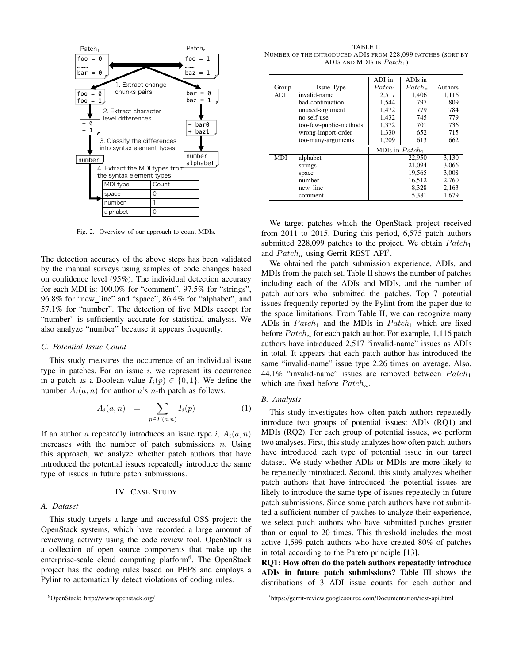

Fig. 2. Overview of our approach to count MDIs.

The detection accuracy of the above steps has been validated by the manual surveys using samples of code changes based on confidence level (95%). The individual detection accuracy for each MDI is: 100.0% for "comment", 97.5% for "strings", 96.8% for "new line" and "space", 86.4% for "alphabet", and 57.1% for "number". The detection of five MDIs except for "number" is sufficiently accurate for statistical analysis. We also analyze "number" because it appears frequently.

#### *C. Potential Issue Count*

This study measures the occurrence of an individual issue type in patches. For an issue *i*, we represent its occurrence in a patch as a Boolean value  $I_i(p) \in \{0, 1\}$ . We define the number  $A_i(a, n)$  for author *a*'s *n*-th patch as follows.

$$
A_i(a,n) = \sum_{p \in P(a,n)} I_i(p) \tag{1}
$$

If an author *a* repeatedly introduces an issue type *i*,  $A_i(a, n)$ increases with the number of patch submissions *n*. Using this approach, we analyze whether patch authors that have introduced the potential issues repeatedly introduce the same type of issues in future patch submissions.

## IV. CASE STUDY

### *A. Dataset*

This study targets a large and successful OSS project: the OpenStack systems, which have recorded a large amount of reviewing activity using the code review tool. OpenStack is a collection of open source components that make up the enterprise-scale cloud computing platform<sup>6</sup>. The OpenStack project has the coding rules based on PEP8 and employs a Pylint to automatically detect violations of coding rules.

<sup>6</sup>OpenStack: http://www.openstack.org/

TABLE II NUMBER OF THE INTRODUCED ADIS FROM 228,099 PATCHES (SORT BY ADIS AND MDIS IN  $Patch<sub>1</sub>$ )

|            |                        | ADI in             | ADIs in   |         |
|------------|------------------------|--------------------|-----------|---------|
| Group      | Issue Type             | Patch <sub>1</sub> | $Patch_n$ | Authors |
| ADI        | invalid-name           | 2.517              | 1,406     | 1,116   |
|            | bad-continuation       | 1,544              | 797       | 809     |
|            | unused-argument        | 1.472              | 779       | 784     |
|            | no-self-use            | 1,432              | 745       | 779     |
|            | too-few-public-methods | 1.372              | 701       | 736     |
|            | wrong-import-order     | 1,330              | 652       | 715     |
|            | too-many-arguments     | 1,209              | 613       | 662     |
|            |                        | MDIs in $Patch1$   |           |         |
| <b>MDI</b> | alphabet               |                    | 22,950    | 3,130   |
|            | strings                |                    | 21.094    | 3.066   |
|            | space                  |                    | 19.565    | 3.008   |
|            | number                 |                    | 16,512    | 2,760   |
|            | new line               |                    | 8,328     | 2,163   |
|            | comment                |                    | 5.381     | 1.679   |

We target patches which the OpenStack project received from 2011 to 2015. During this period, 6,575 patch authors submitted 228,099 patches to the project. We obtain  $Patch_1$ and  $Patch_n$  using Gerrit REST API<sup>7</sup>.

We obtained the patch submission experience, ADIs, and MDIs from the patch set. Table II shows the number of patches including each of the ADIs and MDIs, and the number of patch authors who submitted the patches. Top 7 potential issues frequently reported by the Pylint from the paper due to the space limitations. From Table II, we can recognize many ADIs in  $Patch_1$  and the MDIs in  $Patch_1$  which are fixed before *P atch<sup>n</sup>* for each patch author. For example, 1,116 patch authors have introduced 2,517 "invalid-name" issues as ADIs in total. It appears that each patch author has introduced the same "invalid-name" issue type 2.26 times on average. Also, 44.1% "invalid-name" issues are removed between  $Patch_1$ which are fixed before  $Patch_n$ .

#### *B. Analysis*

This study investigates how often patch authors repeatedly introduce two groups of potential issues: ADIs (RQ1) and MDIs (RQ2). For each group of potential issues, we perform two analyses. First, this study analyzes how often patch authors have introduced each type of potential issue in our target dataset. We study whether ADIs or MDIs are more likely to be repeatedly introduced. Second, this study analyzes whether patch authors that have introduced the potential issues are likely to introduce the same type of issues repeatedly in future patch submissions. Since some patch authors have not submitted a sufficient number of patches to analyze their experience, we select patch authors who have submitted patches greater than or equal to 20 times. This threshold includes the most active 1,599 patch authors who have created 80% of patches in total according to the Pareto principle [13].

RQ1: How often do the patch authors repeatedly introduce ADIs in future patch submissions? Table III shows the distributions of 3 ADI issue counts for each author and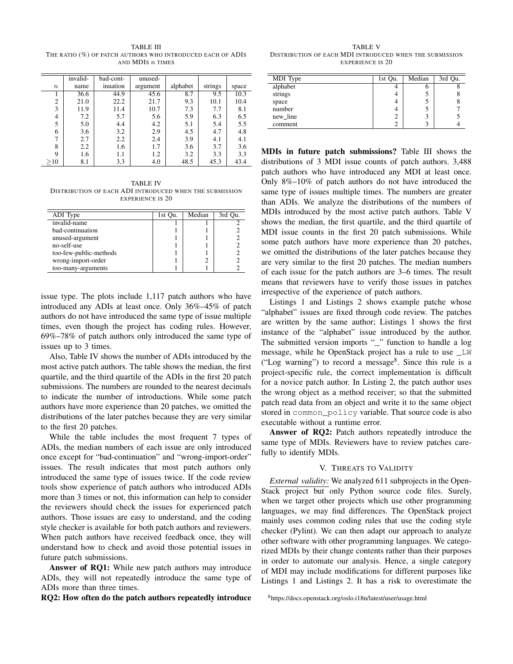TABLE III THE RATIO (%) OF PATCH AUTHORS WHO INTRODUCED EACH OF ADIS AND MDIS *n* TIMES

|                  | invalid- | bad-cont- | unused-  |          |         |       |
|------------------|----------|-----------|----------|----------|---------|-------|
| $\boldsymbol{n}$ | name     | inuation  | argument | alphabet | strings | space |
|                  | 36.6     | 44.9      | 45.6     | 8.7      | 9.5     | 10.3  |
| $\overline{c}$   | 21.0     | 22.2      | 21.7     | 9.3      | 10.1    | 10.4  |
| 3                | 11.9     | 11.4      | 10.7     | 7.3      | 7.7     | 8.1   |
| 4                | 7.2      | 5.7       | 5.6      | 5.9      | 6.3     | 6.5   |
| 5                | 5.0      | 4.4       | 4.2      | 5.1      | 5.4     | 5.5   |
| 6                | 3.6      | 3.2       | 2.9      | 4.5      | 4.7     | 4.8   |
| 7                | 2.7      | 2.2       | 2.4      | 3.9      | 4.1     | 4.1   |
| 8                | 2.2      | 1.6       | 1.7      | 3.6      | 3.7     | 3.6   |
| 9                | 1.6      | 1.1       | 1.2      | 3.2      | 3.3     | 3.3   |
| >10              | 8.1      | 3.3       | 4.0      | 48.5     | 45.3    | 43.4  |

TABLE IV DISTRIBUTION OF EACH ADI INTRODUCED WHEN THE SUBMISSION EXPERIENCE IS 20

| ADI Type               | 1st Ou. | Median | 3rd Ou. |
|------------------------|---------|--------|---------|
| invalid-name           |         |        |         |
| bad-continuation       |         |        |         |
| unused-argument        |         |        |         |
| no-self-use            |         |        |         |
| too-few-public-methods |         |        |         |
| wrong-import-order     |         |        |         |
| too-many-arguments     |         |        |         |

issue type. The plots include 1,117 patch authors who have introduced any ADIs at least once. Only 36%–45% of patch authors do not have introduced the same type of issue multiple times, even though the project has coding rules. However, 69%–78% of patch authors only introduced the same type of issues up to 3 times.

Also, Table IV shows the number of ADIs introduced by the most active patch authors. The table shows the median, the first quartile, and the third quartile of the ADIs in the first 20 patch submissions. The numbers are rounded to the nearest decimals to indicate the number of introductions. While some patch authors have more experience than 20 patches, we omitted the distributions of the later patches because they are very similar to the first 20 patches.

While the table includes the most frequent 7 types of ADIs, the median numbers of each issue are only introduced once except for "bad-continuation" and "wrong-import-order" issues. The result indicates that most patch authors only introduced the same type of issues twice. If the code review tools show experience of patch authors who introduced ADIs more than 3 times or not, this information can help to consider the reviewers should check the issues for experienced patch authors. Those issues are easy to understand, and the coding style checker is available for both patch authors and reviewers. When patch authors have received feedback once, they will understand how to check and avoid those potential issues in future patch submissions.

Answer of RQ1: While new patch authors may introduce ADIs, they will not repeatedly introduce the same type of ADIs more than three times.

RQ2: How often do the patch authors repeatedly introduce

TABLE V DISTRIBUTION OF EACH MDI INTRODUCED WHEN THE SUBMISSION EXPERIENCE IS 20

| MDI Type | 1st Qu. | Median | 3rd Qu. |
|----------|---------|--------|---------|
| alphabet |         |        |         |
| strings  |         |        |         |
| space    |         |        |         |
| number   |         |        |         |
| new line |         |        |         |
| comment  |         |        |         |
|          |         |        |         |

MDIs in future patch submissions? Table III shows the distributions of 3 MDI issue counts of patch authors. 3,488 patch authors who have introduced any MDI at least once. Only 8%–10% of patch authors do not have introduced the same type of issues multiple times. The numbers are greater than ADIs. We analyze the distributions of the numbers of MDIs introduced by the most active patch authors. Table V shows the median, the first quartile, and the third quartile of MDI issue counts in the first 20 patch submissions. While some patch authors have more experience than 20 patches, we omitted the distributions of the later patches because they are very similar to the first 20 patches. The median numbers of each issue for the patch authors are 3–6 times. The result means that reviewers have to verify those issues in patches irrespective of the experience of patch authors.

Listings 1 and Listings 2 shows example patche whose "alphabet" issues are fixed through code review. The patches are written by the same author; Listings 1 shows the first instance of the "alphabet" issue introduced by the author. The submitted version imports "\_" function to handle a log message, while he OpenStack project has a rule to use \_LW ("Log warning") to record a message<sup>8</sup>. Since this rule is a project-specific rule, the correct implementation is difficult for a novice patch author. In Listing 2, the patch author uses the wrong object as a method receiver; so that the submitted patch read data from an object and write it to the same object stored in common\_policy variable. That source code is also executable without a runtime error.

Answer of RQ2: Patch authors repeatedly introduce the same type of MDIs. Reviewers have to review patches carefully to identify MDIs.

# V. THREATS TO VALIDITY

*External validity:* We analyzed 611 subprojects in the Open-Stack project but only Python source code files. Surely, when we target other projects which use other programming languages, we may find differences. The OpenStack project mainly uses common coding rules that use the coding style checker (Pylint). We can then adapt our approach to analyze other software with other programming languages. We categorized MDIs by their change contents rather than their purposes in order to automate our analysis. Hence, a single category of MDI may include modifications for different purposes like Listings 1 and Listings 2. It has a risk to overestimate the

<sup>8</sup>https://docs.openstack.org/oslo.i18n/latest/user/usage.html